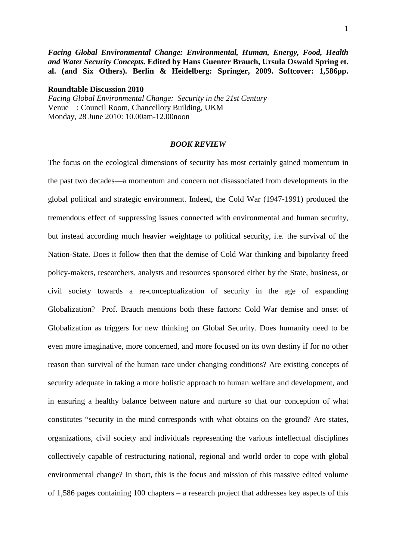*Facing Global Environmental Change: Environmental, Human, Energy, Food, Health and Water Security Concepts.* **Edited by Hans Guenter Brauch, Ursula Oswald Spring et. al. (and Six Others). Berlin & Heidelberg: Springer, 2009. Softcover: 1,586pp.** 

**Roundtable Discussion 2010**

*Facing Global Environmental Change: Security in the 21st Century*  Venue : Council Room, Chancellory Building, UKM Monday, 28 June 2010: 10.00am-12.00noon

## *BOOK REVIEW*

The focus on the ecological dimensions of security has most certainly gained momentum in the past two decades—a momentum and concern not disassociated from developments in the global political and strategic environment. Indeed, the Cold War (1947-1991) produced the tremendous effect of suppressing issues connected with environmental and human security, but instead according much heavier weightage to political security, i.e. the survival of the Nation-State. Does it follow then that the demise of Cold War thinking and bipolarity freed policy-makers, researchers, analysts and resources sponsored either by the State, business, or civil society towards a re-conceptualization of security in the age of expanding Globalization? Prof. Brauch mentions both these factors: Cold War demise and onset of Globalization as triggers for new thinking on Global Security. Does humanity need to be even more imaginative, more concerned, and more focused on its own destiny if for no other reason than survival of the human race under changing conditions? Are existing concepts of security adequate in taking a more holistic approach to human welfare and development, and in ensuring a healthy balance between nature and nurture so that our conception of what constitutes "security in the mind corresponds with what obtains on the ground? Are states, organizations, civil society and individuals representing the various intellectual disciplines collectively capable of restructuring national, regional and world order to cope with global environmental change? In short, this is the focus and mission of this massive edited volume of 1,586 pages containing 100 chapters – a research project that addresses key aspects of this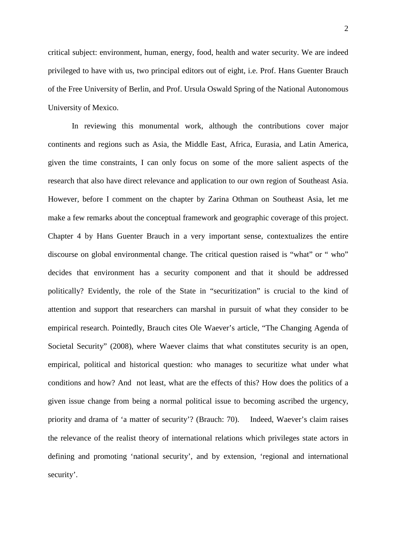critical subject: environment, human, energy, food, health and water security. We are indeed privileged to have with us, two principal editors out of eight, i.e. Prof. Hans Guenter Brauch of the Free University of Berlin, and Prof. Ursula Oswald Spring of the National Autonomous University of Mexico.

 In reviewing this monumental work, although the contributions cover major continents and regions such as Asia, the Middle East, Africa, Eurasia, and Latin America, given the time constraints, I can only focus on some of the more salient aspects of the research that also have direct relevance and application to our own region of Southeast Asia. However, before I comment on the chapter by Zarina Othman on Southeast Asia, let me make a few remarks about the conceptual framework and geographic coverage of this project. Chapter 4 by Hans Guenter Brauch in a very important sense, contextualizes the entire discourse on global environmental change. The critical question raised is "what" or " who" decides that environment has a security component and that it should be addressed politically? Evidently, the role of the State in "securitization" is crucial to the kind of attention and support that researchers can marshal in pursuit of what they consider to be empirical research. Pointedly, Brauch cites Ole Waever's article, "The Changing Agenda of Societal Security" (2008), where Waever claims that what constitutes security is an open, empirical, political and historical question: who manages to securitize what under what conditions and how? And not least, what are the effects of this? How does the politics of a given issue change from being a normal political issue to becoming ascribed the urgency, priority and drama of 'a matter of security'? (Brauch: 70). Indeed, Waever's claim raises the relevance of the realist theory of international relations which privileges state actors in defining and promoting 'national security', and by extension, 'regional and international security'.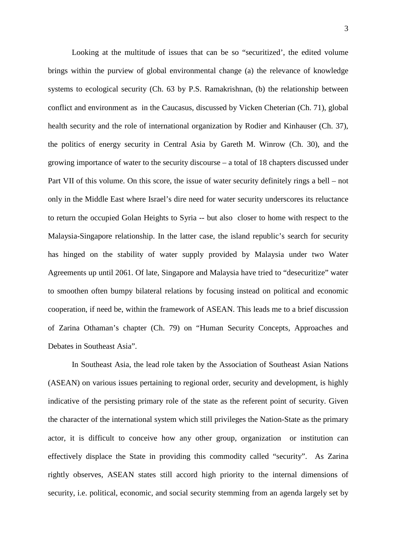Looking at the multitude of issues that can be so "securitized', the edited volume brings within the purview of global environmental change (a) the relevance of knowledge systems to ecological security (Ch. 63 by P.S. Ramakrishnan, (b) the relationship between conflict and environment as in the Caucasus, discussed by Vicken Cheterian (Ch. 71), global health security and the role of international organization by Rodier and Kinhauser (Ch. 37), the politics of energy security in Central Asia by Gareth M. Winrow (Ch. 30), and the growing importance of water to the security discourse – a total of 18 chapters discussed under Part VII of this volume. On this score, the issue of water security definitely rings a bell – not only in the Middle East where Israel's dire need for water security underscores its reluctance to return the occupied Golan Heights to Syria -- but also closer to home with respect to the Malaysia-Singapore relationship. In the latter case, the island republic's search for security has hinged on the stability of water supply provided by Malaysia under two Water Agreements up until 2061. Of late, Singapore and Malaysia have tried to "desecuritize" water to smoothen often bumpy bilateral relations by focusing instead on political and economic cooperation, if need be, within the framework of ASEAN. This leads me to a brief discussion of Zarina Othaman's chapter (Ch. 79) on "Human Security Concepts, Approaches and Debates in Southeast Asia".

 In Southeast Asia, the lead role taken by the Association of Southeast Asian Nations (ASEAN) on various issues pertaining to regional order, security and development, is highly indicative of the persisting primary role of the state as the referent point of security. Given the character of the international system which still privileges the Nation-State as the primary actor, it is difficult to conceive how any other group, organization or institution can effectively displace the State in providing this commodity called "security". As Zarina rightly observes, ASEAN states still accord high priority to the internal dimensions of security, i.e. political, economic, and social security stemming from an agenda largely set by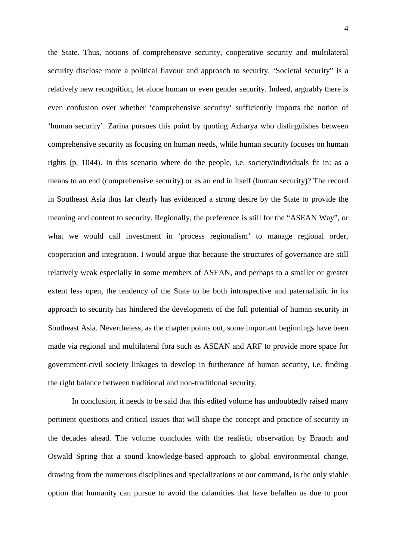the State. Thus, notions of comprehensive security, cooperative security and multilateral security disclose more a political flavour and approach to security. 'Societal security" is a relatively new recognition, let alone human or even gender security. Indeed, arguably there is even confusion over whether 'comprehensive security' sufficiently imports the notion of 'human security'. Zarina pursues this point by quoting Acharya who distinguishes between comprehensive security as focusing on human needs, while human security focuses on human rights (p. 1044). In this scenario where do the people, i.e. society/individuals fit in: as a means to an end (comprehensive security) or as an end in itself (human security)? The record in Southeast Asia thus far clearly has evidenced a strong desire by the State to provide the meaning and content to security. Regionally, the preference is still for the "ASEAN Way", or what we would call investment in 'process regionalism' to manage regional order, cooperation and integration. I would argue that because the structures of governance are still relatively weak especially in some members of ASEAN, and perhaps to a smaller or greater extent less open, the tendency of the State to be both introspective and paternalistic in its approach to security has hindered the development of the full potential of human security in Southeast Asia. Nevertheless, as the chapter points out, some important beginnings have been made via regional and multilateral fora such as ASEAN and ARF to provide more space for government-civil society linkages to develop in furtherance of human security, i.e. finding the right balance between traditional and non-traditional security.

 In conclusion, it needs to be said that this edited volume has undoubtedly raised many pertinent questions and critical issues that will shape the concept and practice of security in the decades ahead. The volume concludes with the realistic observation by Brauch and Oswald Spring that a sound knowledge-based approach to global environmental change, drawing from the numerous disciplines and specializations at our command, is the only viable option that humanity can pursue to avoid the calamities that have befallen us due to poor